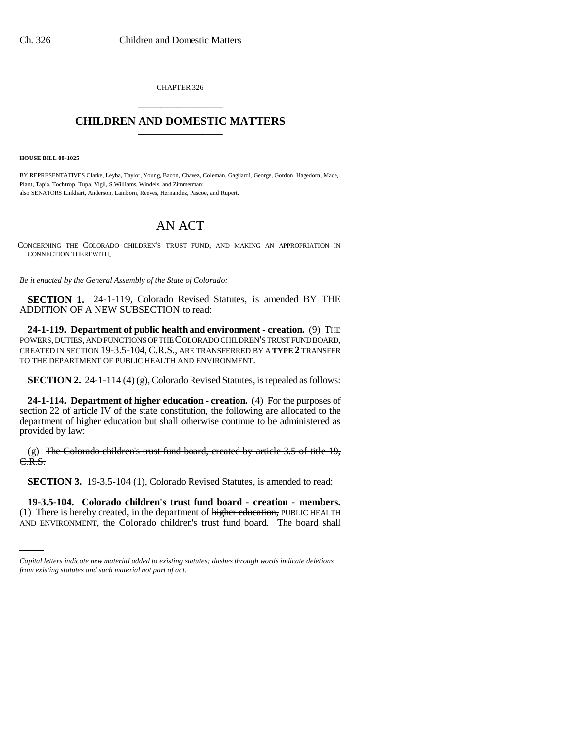CHAPTER 326 \_\_\_\_\_\_\_\_\_\_\_\_\_\_\_

## **CHILDREN AND DOMESTIC MATTERS** \_\_\_\_\_\_\_\_\_\_\_\_\_\_\_

**HOUSE BILL 00-1025** 

BY REPRESENTATIVES Clarke, Leyba, Taylor, Young, Bacon, Chavez, Coleman, Gagliardi, George, Gordon, Hagedorn, Mace, Plant, Tapia, Tochtrop, Tupa, Vigil, S.Williams, Windels, and Zimmerman; also SENATORS Linkhart, Anderson, Lamborn, Reeves, Hernandez, Pascoe, and Rupert.

## AN ACT

CONCERNING THE COLORADO CHILDREN'S TRUST FUND, AND MAKING AN APPROPRIATION IN CONNECTION THEREWITH.

*Be it enacted by the General Assembly of the State of Colorado:*

**SECTION 1.** 24-1-119, Colorado Revised Statutes, is amended BY THE ADDITION OF A NEW SUBSECTION to read:

**24-1-119. Department of public health and environment - creation.** (9) THE POWERS, DUTIES, AND FUNCTIONS OF THE COLORADO CHILDREN'S TRUST FUND BOARD, CREATED IN SECTION 19-3.5-104, C.R.S., ARE TRANSFERRED BY A **TYPE 2** TRANSFER TO THE DEPARTMENT OF PUBLIC HEALTH AND ENVIRONMENT.

**SECTION 2.** 24-1-114 (4) (g), Colorado Revised Statutes, is repealed as follows:

**24-1-114. Department of higher education - creation.** (4) For the purposes of section 22 of article IV of the state constitution, the following are allocated to the department of higher education but shall otherwise continue to be administered as provided by law:

(g) The Colorado children's trust fund board, created by article 3.5 of title 19, C.R.S.

**SECTION 3.** 19-3.5-104 (1), Colorado Revised Statutes, is amended to read:

 **19-3.5-104. Colorado children's trust fund board - creation - members.** (1) There is hereby created, in the department of higher education, PUBLIC HEALTH AND ENVIRONMENT, the Colorado children's trust fund board. The board shall

*Capital letters indicate new material added to existing statutes; dashes through words indicate deletions from existing statutes and such material not part of act.*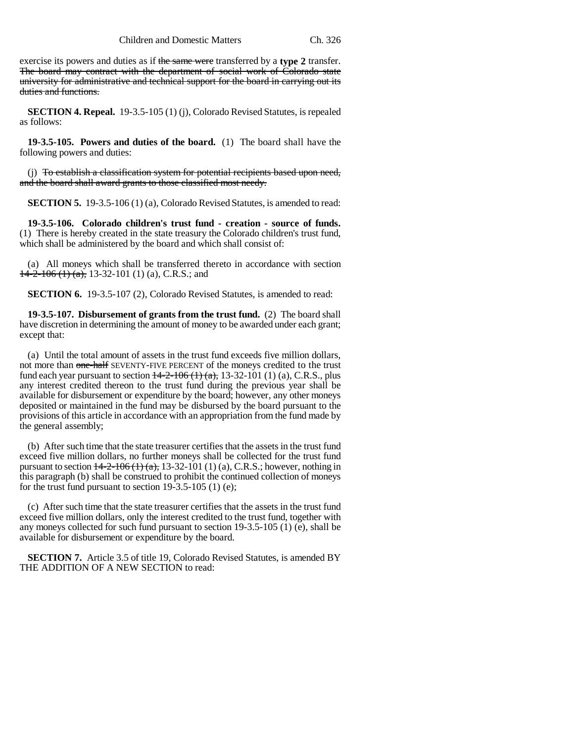exercise its powers and duties as if the same were transferred by a **type 2** transfer. The board may contract with the department of social work of Colorado state university for administrative and technical support for the board in carrying out its duties and functions.

**SECTION 4. Repeal.** 19-3.5-105 (1) (j), Colorado Revised Statutes, is repealed as follows:

**19-3.5-105. Powers and duties of the board.** (1) The board shall have the following powers and duties:

(j) To establish a classification system for potential recipients based upon need, and the board shall award grants to those classified most needy.

**SECTION 5.** 19-3.5-106 (1) (a), Colorado Revised Statutes, is amended to read:

**19-3.5-106. Colorado children's trust fund - creation - source of funds.** (1) There is hereby created in the state treasury the Colorado children's trust fund, which shall be administered by the board and which shall consist of:

(a) All moneys which shall be transferred thereto in accordance with section  $14-2-106$  (1) (a), 13-32-101 (1) (a), C.R.S.; and

**SECTION 6.** 19-3.5-107 (2), Colorado Revised Statutes, is amended to read:

**19-3.5-107. Disbursement of grants from the trust fund.** (2) The board shall have discretion in determining the amount of money to be awarded under each grant; except that:

(a) Until the total amount of assets in the trust fund exceeds five million dollars, not more than one-half SEVENTY-FIVE PERCENT of the moneys credited to the trust fund each year pursuant to section  $14-2-106(1)(a)$ , 13-32-101 (1) (a), C.R.S., plus any interest credited thereon to the trust fund during the previous year shall be available for disbursement or expenditure by the board; however, any other moneys deposited or maintained in the fund may be disbursed by the board pursuant to the provisions of this article in accordance with an appropriation from the fund made by the general assembly;

(b) After such time that the state treasurer certifies that the assets in the trust fund exceed five million dollars, no further moneys shall be collected for the trust fund pursuant to section  $\frac{14-2-106(1)(a)}{13-32-101(1)(a)}$ , C.R.S.; however, nothing in this paragraph (b) shall be construed to prohibit the continued collection of moneys for the trust fund pursuant to section 19-3.5-105 (1) (e);

(c) After such time that the state treasurer certifies that the assets in the trust fund exceed five million dollars, only the interest credited to the trust fund, together with any moneys collected for such fund pursuant to section 19-3.5-105 (1) (e), shall be available for disbursement or expenditure by the board.

**SECTION 7.** Article 3.5 of title 19, Colorado Revised Statutes, is amended BY THE ADDITION OF A NEW SECTION to read: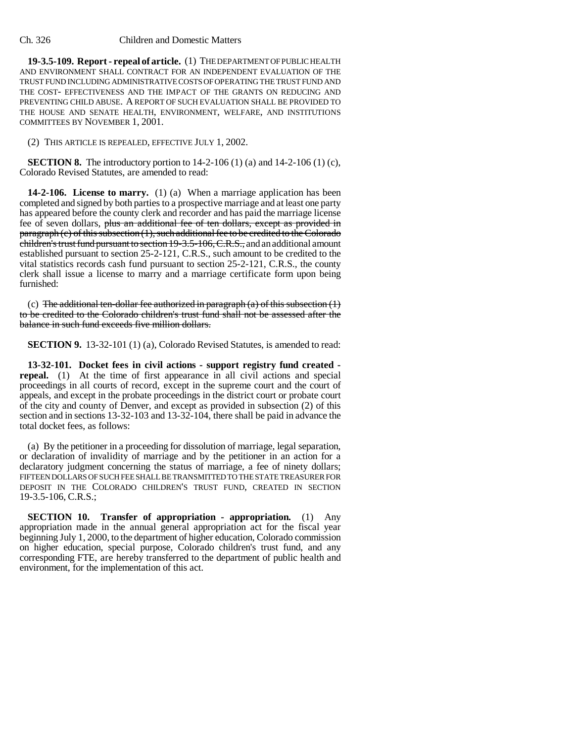## Ch. 326 Children and Domestic Matters

**19-3.5-109. Report - repeal of article.** (1) THE DEPARTMENT OF PUBLIC HEALTH AND ENVIRONMENT SHALL CONTRACT FOR AN INDEPENDENT EVALUATION OF THE TRUST FUND INCLUDING ADMINISTRATIVE COSTS OF OPERATING THE TRUST FUND AND THE COST- EFFECTIVENESS AND THE IMPACT OF THE GRANTS ON REDUCING AND PREVENTING CHILD ABUSE. A REPORT OF SUCH EVALUATION SHALL BE PROVIDED TO THE HOUSE AND SENATE HEALTH, ENVIRONMENT, WELFARE, AND INSTITUTIONS COMMITTEES BY NOVEMBER 1, 2001.

(2) THIS ARTICLE IS REPEALED, EFFECTIVE JULY 1, 2002.

**SECTION 8.** The introductory portion to 14-2-106 (1) (a) and 14-2-106 (1) (c), Colorado Revised Statutes, are amended to read:

**14-2-106. License to marry.** (1) (a) When a marriage application has been completed and signed by both parties to a prospective marriage and at least one party has appeared before the county clerk and recorder and has paid the marriage license fee of seven dollars, plus an additional fee of ten dollars, except as provided in  $\frac{1}{2}$  paragraph (c) of this subsection (1), such additional fee to be credited to the Colorado children's trust fund pursuant to section 19-3.5-106, C.R.S., and an additional amount established pursuant to section 25-2-121, C.R.S., such amount to be credited to the vital statistics records cash fund pursuant to section 25-2-121, C.R.S., the county clerk shall issue a license to marry and a marriage certificate form upon being furnished:

(c) The additional ten-dollar fee authorized in paragraph  $(a)$  of this subsection  $(1)$ to be credited to the Colorado children's trust fund shall not be assessed after the balance in such fund exceeds five million dollars.

**SECTION 9.** 13-32-101 (1) (a), Colorado Revised Statutes, is amended to read:

**13-32-101. Docket fees in civil actions - support registry fund created repeal.** (1) At the time of first appearance in all civil actions and special proceedings in all courts of record, except in the supreme court and the court of appeals, and except in the probate proceedings in the district court or probate court of the city and county of Denver, and except as provided in subsection (2) of this section and in sections 13-32-103 and 13-32-104, there shall be paid in advance the total docket fees, as follows:

(a) By the petitioner in a proceeding for dissolution of marriage, legal separation, or declaration of invalidity of marriage and by the petitioner in an action for a declaratory judgment concerning the status of marriage, a fee of ninety dollars; FIFTEEN DOLLARS OF SUCH FEE SHALL BE TRANSMITTED TO THE STATE TREASURER FOR DEPOSIT IN THE COLORADO CHILDREN'S TRUST FUND, CREATED IN SECTION 19-3.5-106, C.R.S.;

**SECTION 10. Transfer of appropriation - appropriation.** (1) Any appropriation made in the annual general appropriation act for the fiscal year beginning July 1, 2000, to the department of higher education, Colorado commission on higher education, special purpose, Colorado children's trust fund, and any corresponding FTE, are hereby transferred to the department of public health and environment, for the implementation of this act.